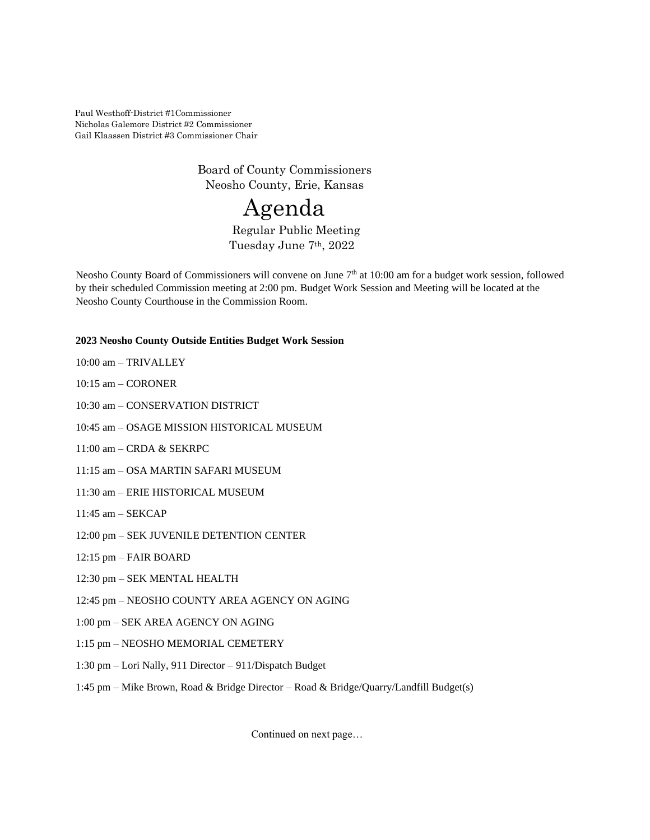Paul Westhoff-District #1Commissioner Nicholas Galemore District #2 Commissioner Gail Klaassen District #3 Commissioner Chair

> Board of County Commissioners Neosho County, Erie, Kansas

# Agenda

Regular Public Meeting Tuesday June 7th, 2022

Neosho County Board of Commissioners will convene on June 7<sup>th</sup> at 10:00 am for a budget work session, followed by their scheduled Commission meeting at 2:00 pm. Budget Work Session and Meeting will be located at the Neosho County Courthouse in the Commission Room.

# **2023 Neosho County Outside Entities Budget Work Session**

- 10:00 am TRIVALLEY
- 10:15 am CORONER

10:30 am – CONSERVATION DISTRICT

- 10:45 am OSAGE MISSION HISTORICAL MUSEUM
- 11:00 am CRDA & SEKRPC
- 11:15 am OSA MARTIN SAFARI MUSEUM
- 11:30 am ERIE HISTORICAL MUSEUM
- 11:45 am SEKCAP
- 12:00 pm SEK JUVENILE DETENTION CENTER
- 12:15 pm FAIR BOARD
- 12:30 pm SEK MENTAL HEALTH
- 12:45 pm NEOSHO COUNTY AREA AGENCY ON AGING
- 1:00 pm SEK AREA AGENCY ON AGING
- 1:15 pm NEOSHO MEMORIAL CEMETERY
- 1:30 pm Lori Nally, 911 Director 911/Dispatch Budget
- 1:45 pm Mike Brown, Road & Bridge Director Road & Bridge/Quarry/Landfill Budget(s)

Continued on next page…